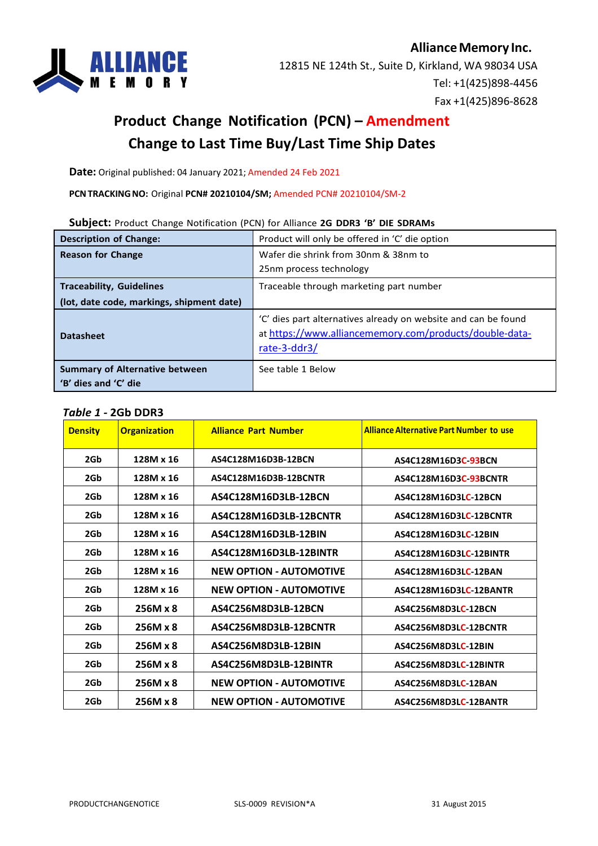

# **Product Change Notification (PCN) – Amendment Change to Last Time Buy/Last Time Ship Dates**

**Date:** Original published: 04 January 2021; Amended 24 Feb 2021

**PCNTRACKINGNO:** Original **PCN# 20210104/SM;** Amended PCN# 20210104/SM-2

#### **Subject:** Product Change Notification (PCN) for Alliance **2G DDR3 'B' DIE SDRAMs**

| <b>Description of Change:</b>                                 | Product will only be offered in 'C' die option                                                                                            |  |
|---------------------------------------------------------------|-------------------------------------------------------------------------------------------------------------------------------------------|--|
| <b>Reason for Change</b>                                      | Wafer die shrink from 30nm & 38nm to                                                                                                      |  |
|                                                               | 25nm process technology                                                                                                                   |  |
| <b>Traceability, Guidelines</b>                               | Traceable through marketing part number                                                                                                   |  |
| (lot, date code, markings, shipment date)                     |                                                                                                                                           |  |
| <b>Datasheet</b>                                              | 'C' dies part alternatives already on website and can be found<br>at https://www.alliancememory.com/products/double-data-<br>rate-3-ddr3/ |  |
| <b>Summary of Alternative between</b><br>'B' dies and 'C' die | See table 1 Below                                                                                                                         |  |

#### *Table 1 -* **2Gb DDR3**

| <b>Density</b> | <b>Organization</b> | <b>Alliance Part Number</b>    | <b>Alliance Alternative Part Number to use</b> |
|----------------|---------------------|--------------------------------|------------------------------------------------|
| 2Gb            | 128M x 16           | AS4C128M16D3B-12BCN            | AS4C128M16D3C-93BCN                            |
| 2Gb            | 128M x 16           | AS4C128M16D3B-12BCNTR          | AS4C128M16D3C-93BCNTR                          |
| 2Gb            | 128M x 16           | AS4C128M16D3LB-12BCN           | AS4C128M16D3LC-12BCN                           |
| 2Gb            | 128M x 16           | AS4C128M16D3LB-12BCNTR         | AS4C128M16D3LC-12BCNTR                         |
| 2Gb            | 128M x 16           | AS4C128M16D3LB-12BIN           | AS4C128M16D3LC-12BIN                           |
| 2Gb            | 128M x 16           | AS4C128M16D3LB-12BINTR         | AS4C128M16D3LC-12BINTR                         |
| 2Gb            | 128M x 16           | <b>NEW OPTION - AUTOMOTIVE</b> | AS4C128M16D3LC-12BAN                           |
| 2Gb            | 128M x 16           | <b>NEW OPTION - AUTOMOTIVE</b> | AS4C128M16D3LC-12BANTR                         |
| 2Gb            | 256M x 8            | AS4C256M8D3LB-12BCN            | AS4C256M8D3LC-12BCN                            |
| 2Gb            | 256M x 8            | AS4C256M8D3LB-12BCNTR          | AS4C256M8D3LC-12BCNTR                          |
| 2Gb            | 256M x 8            | AS4C256M8D3LB-12BIN            | AS4C256M8D3LC-12BIN                            |
| 2Gb            | 256M x 8            | AS4C256M8D3LB-12BINTR          | AS4C256M8D3LC-12BINTR                          |
| 2Gb            | 256M x 8            | <b>NEW OPTION - AUTOMOTIVE</b> | AS4C256M8D3LC-12BAN                            |
| 2Gb            | 256M x 8            | <b>NEW OPTION - AUTOMOTIVE</b> | AS4C256M8D3LC-12BANTR                          |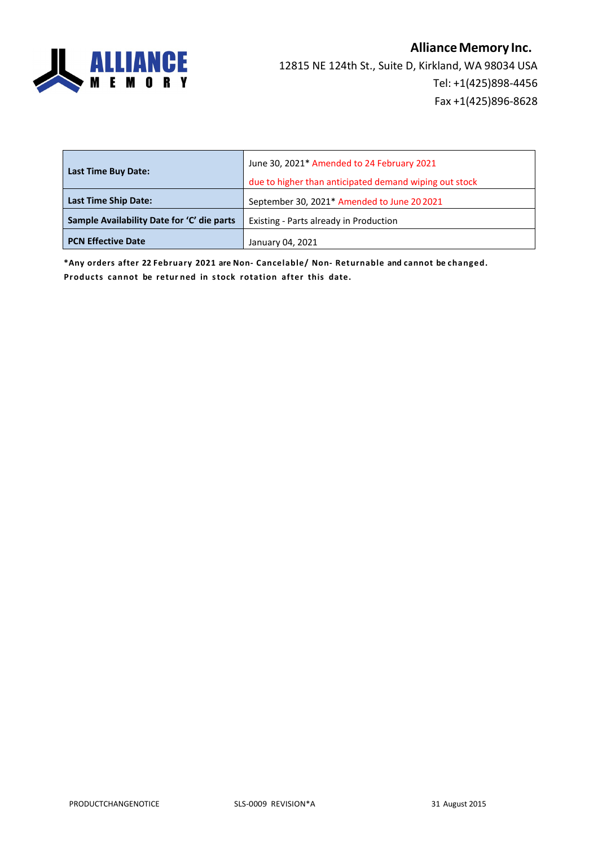

| <b>Last Time Buy Date:</b>                                                           | June 30, 2021* Amended to 24 February 2021             |
|--------------------------------------------------------------------------------------|--------------------------------------------------------|
|                                                                                      | due to higher than anticipated demand wiping out stock |
| <b>Last Time Ship Date:</b>                                                          | September 30, 2021* Amended to June 20 2021            |
| Sample Availability Date for 'C' die parts<br>Existing - Parts already in Production |                                                        |
| <b>PCN Effective Date</b>                                                            | January 04, 2021                                       |

**\*Any orders after 22 February 2021 are Non- Cancelable/ Non- Returnable and cannot be changed. Products cannot be retur ned in stock rotation after this date.**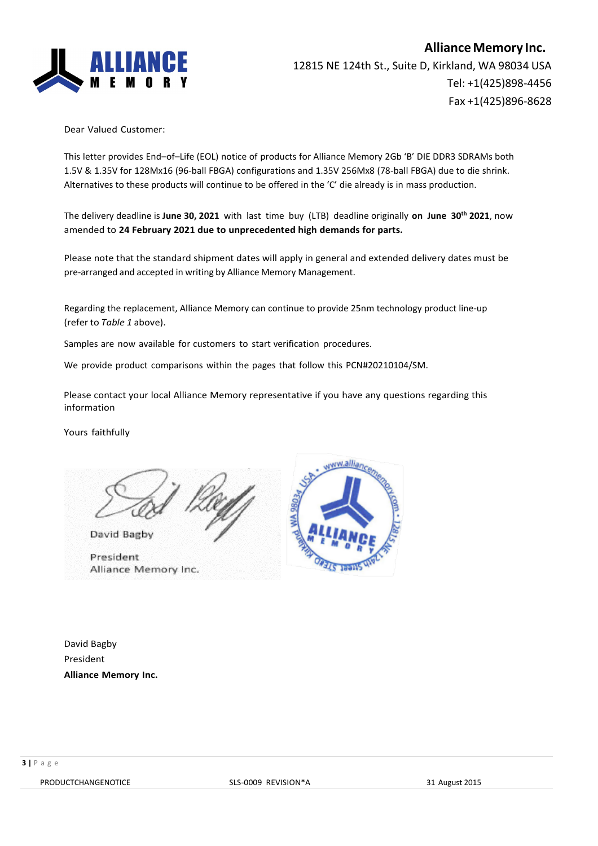

Dear Valued Customer:

This letter provides End–of–Life (EOL) notice of products for Alliance Memory 2Gb 'B' DIE DDR3 SDRAMs both 1.5V & 1.35V for 128Mx16 (96-ball FBGA) configurations and 1.35V 256Mx8 (78-ball FBGA) due to die shrink. Alternatives to these products will continue to be offered in the 'C' die already is in mass production.

The delivery deadline is **June 30, 2021** with last time buy (LTB) deadline originally **on June 30th 2021**, now amended to **24 February 2021 due to unprecedented high demands for parts.**

Please note that the standard shipment dates will apply in general and extended delivery dates must be pre-arranged and accepted in writing by Alliance Memory Management.

Regarding the replacement, Alliance Memory can continue to provide 25nm technology product line-up (refer to *Table 1* above).

Samples are now available for customers to start verification procedures.

We provide product comparisons within the pages that follow this PCN#20210104/SM.

Please contact your local Alliance Memory representative if you have any questions regarding this information

Yours faithfully

David Bagby

President Alliance Memory Inc.



David Bagby President **Alliance Memory Inc.**

PRODUCTCHANGENOTICE SLS-0009 REVISION\*A 31 August 2015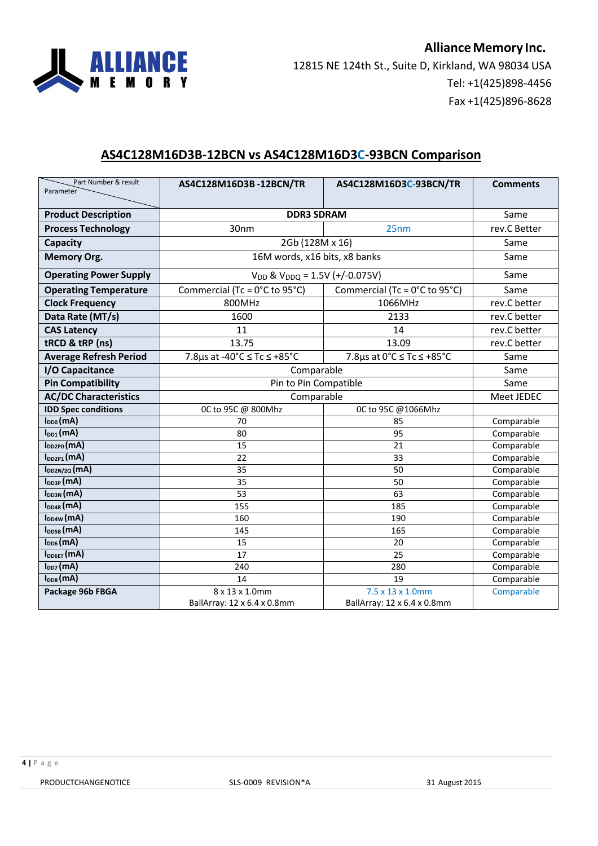

## **AS4C128M16D3B-12BCN vs AS4C128M16D3C-93BCN Comparison**

| Part Number & result<br>Parameter | AS4C128M16D3B-12BCN/TR                                         | AS4C128M16D3C-93BCN/TR                    | <b>Comments</b> |
|-----------------------------------|----------------------------------------------------------------|-------------------------------------------|-----------------|
| <b>Product Description</b>        | <b>DDR3 SDRAM</b>                                              |                                           | Same            |
| <b>Process Technology</b>         | 30nm<br>25nm                                                   |                                           | rev.C Better    |
|                                   |                                                                |                                           |                 |
| Capacity                          | 2Gb (128M x 16)                                                |                                           | Same<br>Same    |
| <b>Memory Org.</b>                |                                                                | 16M words, x16 bits, x8 banks             |                 |
| <b>Operating Power Supply</b>     |                                                                | $V_{DD}$ & $V_{DDQ}$ = 1.5V (+/-0.075V)   |                 |
| <b>Operating Temperature</b>      | Commercial (Tc = 0°C to 95°C)<br>Commercial (Tc = 0°C to 95°C) |                                           | Same            |
| <b>Clock Frequency</b>            | 800MHz                                                         | 1066MHz                                   | rev.C better    |
| Data Rate (MT/s)                  | 1600                                                           | 2133                                      | rev.C better    |
| <b>CAS Latency</b>                | 11                                                             | 14                                        | rev.C better    |
| tRCD & tRP (ns)                   | 13.75                                                          | 13.09                                     | rev.C better    |
| <b>Average Refresh Period</b>     | 7.8µs at -40°C ≤ Tc ≤ +85°C                                    | 7.8 $\mu$ s at 0°C $\leq$ Tc $\leq$ +85°C | Same            |
| I/O Capacitance                   | Comparable                                                     |                                           | Same            |
| <b>Pin Compatibility</b>          | Pin to Pin Compatible                                          |                                           | Same            |
| <b>AC/DC Characteristics</b>      | Comparable                                                     |                                           | Meet JEDEC      |
| <b>IDD Spec conditions</b>        | 0C to 95C @ 800Mhz<br>0C to 95C @1066Mhz                       |                                           |                 |
| $I_{DD0}(mA)$                     | 70                                                             | 85                                        | Comparable      |
| $I_{DD1}(mA)$                     | 80                                                             | 95                                        | Comparable      |
| $I_{DD2PO}(mA)$                   | 15                                                             | 21                                        | Comparable      |
| $I_{DD2P1}(mA)$                   | 22                                                             | 33                                        | Comparable      |
| $I_{DD2N/2Q}(mA)$                 | 35                                                             | 50                                        | Comparable      |
| $I_{DD3P}$ (mA)                   | 35                                                             | 50                                        | Comparable      |
| $I_{DD3N}(mA)$                    | 53                                                             | 63                                        | Comparable      |
| $I_{DD4R}$ (mA)                   | 155                                                            | 185                                       | Comparable      |
| $I_{DD4W}(mA)$                    | 160                                                            | 190                                       | Comparable      |
| I <sub>DD5B</sub> (mA)            | 145                                                            | 165                                       | Comparable      |
| $I_{DD6}(mA)$                     | 15                                                             | 20                                        | Comparable      |
| $I_{\text{DD6ET}}(mA)$            | 17                                                             | 25                                        | Comparable      |
| $I_{DD7}(mA)$                     | 240                                                            | 280                                       | Comparable      |
| $I_{\text{DD8}}$ (mA)             | 14                                                             | 19                                        | Comparable      |
| Package 96b FBGA                  | 8 x 13 x 1.0mm                                                 | 7.5 x 13 x 1.0mm                          | Comparable      |
|                                   | BallArray: 12 x 6.4 x 0.8mm                                    | BallArray: 12 x 6.4 x 0.8mm               |                 |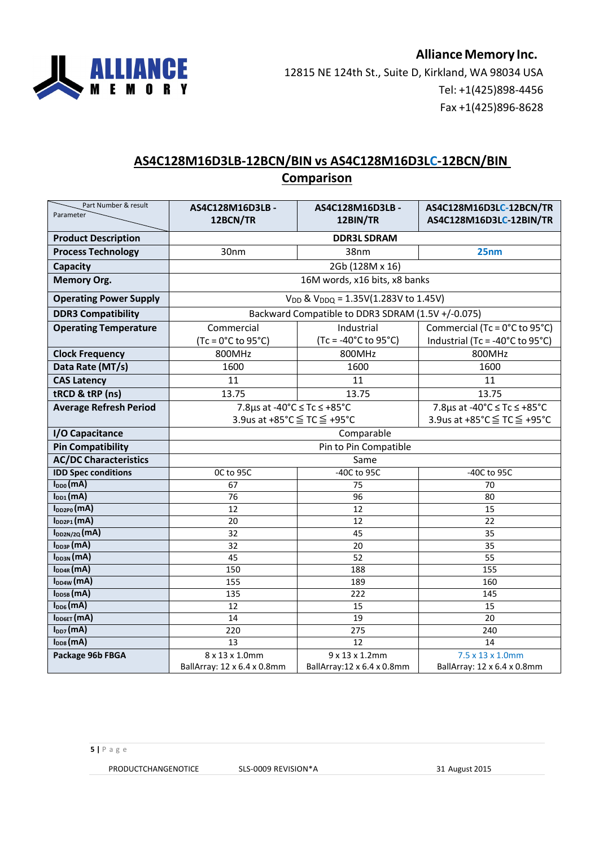

### **AS4C128M16D3LB-12BCN/BIN vs AS4C128M16D3LC-12BCN/BIN Comparison**

| Part Number & result<br>Parameter | AS4C128M16D3LB -                              | AS4C128M16D3LB-                                   | AS4C128M16D3LC-12BCN/TR         |
|-----------------------------------|-----------------------------------------------|---------------------------------------------------|---------------------------------|
|                                   | 12BCN/TR                                      | 12BIN/TR                                          | AS4C128M16D3LC-12BIN/TR         |
| <b>Product Description</b>        | <b>DDR3L SDRAM</b>                            |                                                   |                                 |
| <b>Process Technology</b>         | 30nm                                          | 38nm                                              | 25nm                            |
| <b>Capacity</b>                   |                                               | 2Gb (128M x 16)                                   |                                 |
| <b>Memory Org.</b>                |                                               | 16M words, x16 bits, x8 banks                     |                                 |
| <b>Operating Power Supply</b>     | $V_{DD}$ & $V_{DDQ} = 1.35V(1.283V$ to 1.45V) |                                                   |                                 |
| <b>DDR3 Compatibility</b>         |                                               | Backward Compatible to DDR3 SDRAM (1.5V +/-0.075) |                                 |
| <b>Operating Temperature</b>      | Commercial                                    | Industrial                                        | Commercial (Tc = 0°C to 95°C)   |
|                                   | $(Tc = 0^{\circ}C$ to 95 $^{\circ}C$ )        | (Tc = -40°C to 95°C)                              | Industrial (Tc = -40°C to 95°C) |
| <b>Clock Frequency</b>            | 800MHz                                        | 800MHz                                            | 800MHz                          |
| Data Rate (MT/s)                  | 1600                                          | 1600                                              | 1600                            |
| <b>CAS Latency</b>                | 11                                            | 11                                                | 11                              |
| tRCD & tRP (ns)                   | 13.75<br>13.75                                |                                                   | 13.75                           |
| <b>Average Refresh Period</b>     | 7.8µs at -40°C ≤ Tc ≤ +85°C                   |                                                   | 7.8µs at -40°C ≤ Tc ≤ +85°C     |
|                                   | 3.9us at +85°C ≤ TC ≤ +95°C                   | 3.9us at +85°C ≤ TC ≤ +95°C                       |                                 |
| I/O Capacitance                   | Comparable                                    |                                                   |                                 |
| <b>Pin Compatibility</b>          |                                               | Pin to Pin Compatible                             |                                 |
| <b>AC/DC Characteristics</b>      |                                               | Same                                              |                                 |
| <b>IDD Spec conditions</b>        | OC to 95C                                     | -40C to 95C                                       | -40C to 95C                     |
| $I_{DD0}(mA)$                     | 67                                            | 75                                                | 70                              |
| $I_{DD1}(mA)$                     | 76                                            | 96                                                | 80                              |
| $I_{DD2P0}(mA)$                   | 12                                            | 12                                                | 15                              |
| $I_{DD2P1}(mA)$                   | 20                                            | $\overline{12}$                                   | $\overline{22}$                 |
| $I_{DD2N/2Q}(mA)$                 | 32                                            | 45                                                | 35                              |
| $I_{DD3P}$ (mA)                   | 32                                            | 20                                                | 35                              |
| $I_{DD3N}(mA)$                    | 45                                            | $\overline{52}$                                   | $\overline{55}$                 |
| $I_{DD4R}(mA)$                    | 150                                           | 188                                               | 155                             |
| $I_{DD4W}(mA)$                    | 155                                           | 189                                               | 160                             |
| $I_{\text{DDSB}}$ (mA)            | 135                                           | 222                                               | 145                             |
| $I_{DD6}(mA)$                     | 12                                            | 15                                                | 15                              |
| $I_{\text{DD6ET}}(mA)$            | 14                                            | 19                                                | 20                              |
| $I_{DD7}(mA)$                     | 220                                           | 275                                               | 240                             |
| $I_{DD8}(mA)$                     | 13                                            | 12                                                | 14                              |
| Package 96b FBGA                  | 8 x 13 x 1.0mm                                | 9 x 13 x 1.2mm                                    | 7.5 x 13 x 1.0mm                |
|                                   | BallArray: 12 x 6.4 x 0.8mm                   | BallArray:12 x 6.4 x 0.8mm                        | BallArray: 12 x 6.4 x 0.8mm     |

PRODUCTCHANGENOTICE SLS-0009 REVISION\*A 31 August 2015